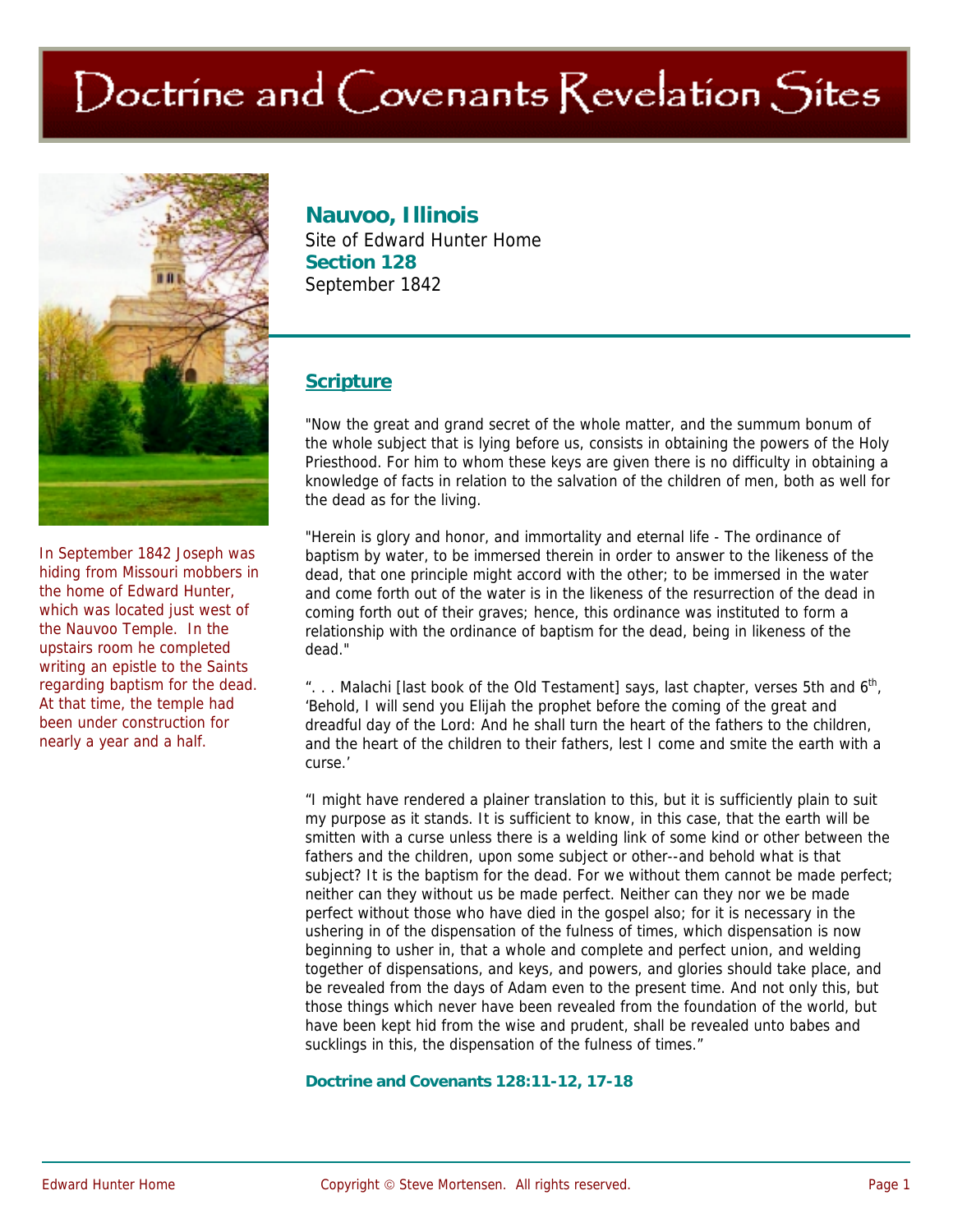# Doctrine and Covenants Revelation Sites



In September 1842 Joseph was hiding from Missouri mobbers in the home of Edward Hunter, which was located just west of the Nauvoo Temple. In the upstairs room he completed writing an epistle to the Saints regarding baptism for the dead. At that time, the temple had been under construction for nearly a year and a half.

## **Nauvoo, Illinois**

Site of Edward Hunter Home **Section 128**  September 1842

## **Scripture**

"Now the great and grand secret of the whole matter, and the summum bonum of the whole subject that is lying before us, consists in obtaining the powers of the Holy Priesthood. For him to whom these keys are given there is no difficulty in obtaining a knowledge of facts in relation to the salvation of the children of men, both as well for the dead as for the living.

"Herein is glory and honor, and immortality and eternal life - The ordinance of baptism by water, to be immersed therein in order to answer to the likeness of the dead, that one principle might accord with the other; to be immersed in the water and come forth out of the water is in the likeness of the resurrection of the dead in coming forth out of their graves; hence, this ordinance was instituted to form a relationship with the ordinance of baptism for the dead, being in likeness of the dead."

"... Malachi [last book of the Old Testament] says, last chapter, verses 5th and  $6<sup>th</sup>$ , 'Behold, I will send you Elijah the prophet before the coming of the great and dreadful day of the Lord: And he shall turn the heart of the fathers to the children, and the heart of the children to their fathers, lest I come and smite the earth with a curse.'

"I might have rendered a plainer translation to this, but it is sufficiently plain to suit my purpose as it stands. It is sufficient to know, in this case, that the earth will be smitten with a curse unless there is a welding link of some kind or other between the fathers and the children, upon some subject or other--and behold what is that subject? It is the baptism for the dead. For we without them cannot be made perfect; neither can they without us be made perfect. Neither can they nor we be made perfect without those who have died in the gospel also; for it is necessary in the ushering in of the dispensation of the fulness of times, which dispensation is now beginning to usher in, that a whole and complete and perfect union, and welding together of dispensations, and keys, and powers, and glories should take place, and be revealed from the days of Adam even to the present time. And not only this, but those things which never have been revealed from the foundation of the world, but have been kept hid from the wise and prudent, shall be revealed unto babes and sucklings in this, the dispensation of the fulness of times."

#### **Doctrine and Covenants 128:11-12, 17-18**